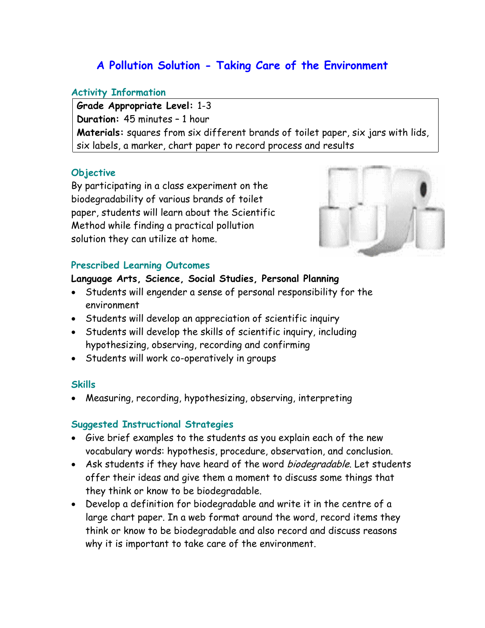# **A Pollution Solution - Taking Care of the Environment**

#### **Activity Information**

**Grade Appropriate Level:** 1-3 **Duration:** 45 minutes – 1 hour **Materials:** squares from six different brands of toilet paper, six jars with lids, six labels, a marker, chart paper to record process and results

#### **Objective**

By participating in a class experiment on the biodegradability of various brands of toilet paper, students will learn about the Scientific Method while finding a practical pollution solution they can utilize at home.



#### **Prescribed Learning Outcomes**

#### **Language Arts, Science, Social Studies, Personal Planning**

- Students will engender a sense of personal responsibility for the environment
- Students will develop an appreciation of scientific inquiry
- Students will develop the skills of scientific inquiry, including hypothesizing, observing, recording and confirming
- Students will work co-operatively in groups

#### **Skills**

• Measuring, recording, hypothesizing, observing, interpreting

#### **Suggested Instructional Strategies**

- Give brief examples to the students as you explain each of the new vocabulary words: hypothesis, procedure, observation, and conclusion.
- Ask students if they have heard of the word biodegradable. Let students offer their ideas and give them a moment to discuss some things that they think or know to be biodegradable.
- Develop a definition for biodegradable and write it in the centre of a large chart paper. In a web format around the word, record items they think or know to be biodegradable and also record and discuss reasons why it is important to take care of the environment.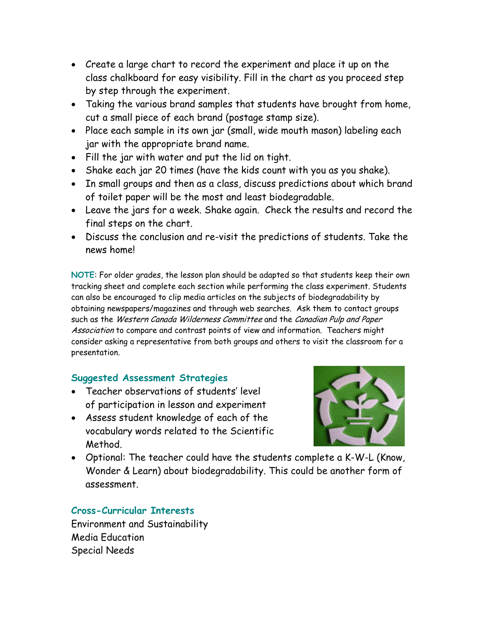- Create a large chart to record the experiment and place it up on the class chalkboard for easy visibility. Fill in the chart as you proceed step by step through the experiment.
- Taking the various brand samples that students have brought from home, cut a small piece of each brand (postage stamp size).
- Place each sample in its own jar (small, wide mouth mason) labeling each jar with the appropriate brand name.
- Fill the jar with water and put the lid on tight.
- Shake each jar 20 times (have the kids count with you as you shake).
- In small groups and then as a class, discuss predictions about which brand of toilet paper will be the most and least biodegradable.
- Leave the jars for a week. Shake again. Check the results and record the final steps on the chart.
- Discuss the conclusion and re-visit the predictions of students. Take the news home!

**NOTE**: For older grades, the lesson plan should be adapted so that students keep their own tracking sheet and complete each section while performing the class experiment. Students can also be encouraged to clip media articles on the subjects of biodegradability by obtaining newspapers/magazines and through web searches. Ask them to contact groups such as the Western Canada Wilderness Committee and the Canadian Pulp and Paper Association to compare and contrast points of view and information. Teachers might consider asking a representative from both groups and others to visit the classroom for a presentation.

### **Suggested Assessment Strategies**

- Teacher observations of students' level of participation in lesson and experiment
- Assess student knowledge of each of the vocabulary words related to the Scientific Method.



• Optional: The teacher could have the students complete a K-W-L (Know, Wonder & Learn) about biodegradability. This could be another form of assessment.

## **Cross-Curricular Interests**

Environment and Sustainability Media Education Special Needs